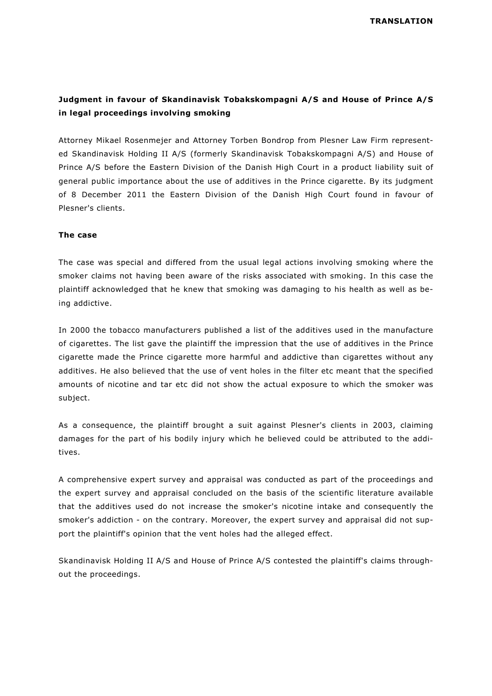## **Judgment in favour of Skandinavisk Tobakskompagni A/S and House of Prince A/S in legal proceedings involving smoking**

Attorney Mikael Rosenmejer and Attorney Torben Bondrop from Plesner Law Firm represented Skandinavisk Holding II A/S (formerly Skandinavisk Tobakskompagni A/S) and House of Prince A/S before the Eastern Division of the Danish High Court in a product liability suit of general public importance about the use of additives in the Prince cigarette. By its judgment of 8 December 2011 the Eastern Division of the Danish High Court found in favour of Plesner's clients.

## **The case**

The case was special and differed from the usual legal actions involving smoking where the smoker claims not having been aware of the risks associated with smoking. In this case the plaintiff acknowledged that he knew that smoking was damaging to his health as well as being addictive.

In 2000 the tobacco manufacturers published a list of the additives used in the manufacture of cigarettes. The list gave the plaintiff the impression that the use of additives in the Prince cigarette made the Prince cigarette more harmful and addictive than cigarettes without any additives. He also believed that the use of vent holes in the filter etc meant that the specified amounts of nicotine and tar etc did not show the actual exposure to which the smoker was subject.

As a consequence, the plaintiff brought a suit against Plesner's clients in 2003, claiming damages for the part of his bodily injury which he believed could be attributed to the additives.

A comprehensive expert survey and appraisal was conducted as part of the proceedings and the expert survey and appraisal concluded on the basis of the scientific literature available that the additives used do not increase the smoker's nicotine intake and consequently the smoker's addiction - on the contrary. Moreover, the expert survey and appraisal did not support the plaintiff's opinion that the vent holes had the alleged effect.

Skandinavisk Holding II A/S and House of Prince A/S contested the plaintiff's claims throughout the proceedings.